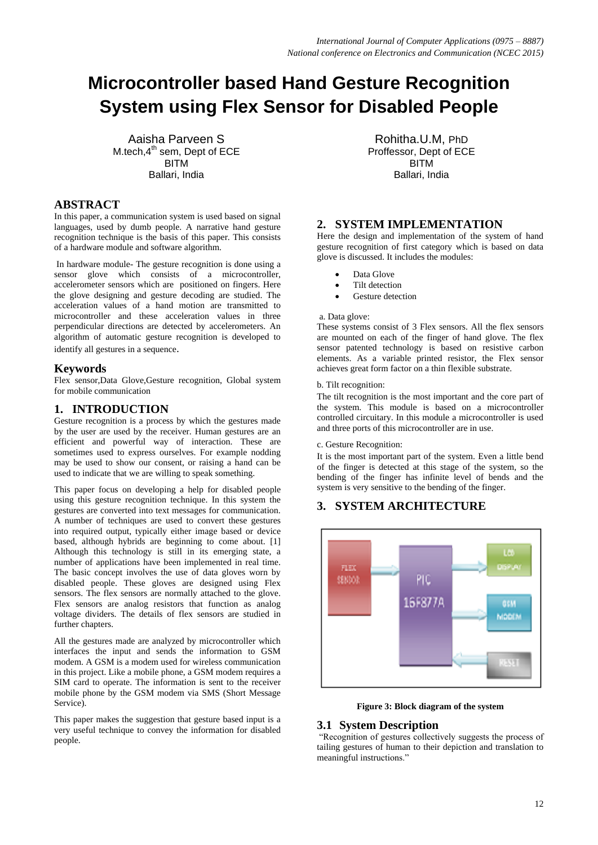# **Microcontroller based Hand Gesture Recognition System using Flex Sensor for Disabled People**

Aaisha Parveen S M.tech. $4<sup>th</sup>$  sem, Dept of ECE BITM Ballari, India

# **ABSTRACT**

In this paper, a communication system is used based on signal languages, used by dumb people. A narrative hand gesture recognition technique is the basis of this paper. This consists of a hardware module and software algorithm.

In hardware module- The gesture recognition is done using a sensor glove which consists of a microcontroller, accelerometer sensors which are positioned on fingers. Here the glove designing and gesture decoding are studied. The acceleration values of a hand motion are transmitted to microcontroller and these acceleration values in three perpendicular directions are detected by accelerometers. An algorithm of automatic gesture recognition is developed to identify all gestures in a sequence.

## **Keywords**

Flex sensor,Data Glove,Gesture recognition, Global system for mobile communication

## **1. INTRODUCTION**

Gesture recognition is a process by which the gestures made by the user are used by the receiver. Human gestures are an efficient and powerful way of interaction. These are sometimes used to express ourselves. For example nodding may be used to show our consent, or raising a hand can be used to indicate that we are willing to speak something.

This paper focus on developing a help for disabled people using this gesture recognition technique. In this system the gestures are converted into text messages for communication. A number of techniques are used to convert these gestures into required output, typically either image based or device based, although hybrids are beginning to come about. [1] Although this technology is still in its emerging state, a number of applications have been implemented in real time. The basic concept involves the use of data gloves worn by disabled people. These gloves are designed using Flex sensors. The flex sensors are normally attached to the glove. Flex sensors are analog resistors that function as analog voltage dividers. The details of flex sensors are studied in further chapters.

All the gestures made are analyzed by microcontroller which interfaces the input and sends the information to GSM modem. A GSM is a modem used for wireless communication in this project. Like a mobile phone, a GSM modem requires a SIM card to operate. The information is sent to the receiver mobile phone by the GSM modem via SMS (Short Message Service).

This paper makes the suggestion that gesture based input is a very useful technique to convey the information for disabled people.

Rohitha.U.M, PhD Proffessor, Dept of ECE BITM Ballari, India

## **2. SYSTEM IMPLEMENTATION**

Here the design and implementation of the system of hand gesture recognition of first category which is based on data glove is discussed. It includes the modules:

- Data Glove
- Tilt detection
- Gesture detection

#### a. Data glove:

These systems consist of 3 Flex sensors. All the flex sensors are mounted on each of the finger of hand glove. The flex sensor patented technology is based on resistive carbon elements. As a variable printed resistor, the Flex sensor achieves great form factor on a thin flexible substrate.

#### b. Tilt recognition:

The tilt recognition is the most important and the core part of the system. This module is based on a microcontroller controlled circuitary. In this module a microcontroller is used and three ports of this microcontroller are in use.

#### c. Gesture Recognition:

It is the most important part of the system. Even a little bend of the finger is detected at this stage of the system, so the bending of the finger has infinite level of bends and the system is very sensitive to the bending of the finger.

## **3. SYSTEM ARCHITECTURE**



**Figure 3: Block diagram of the system**

## **3.1 System Description**

"Recognition of gestures collectively suggests the process of tailing gestures of human to their depiction and translation to meaningful instructions."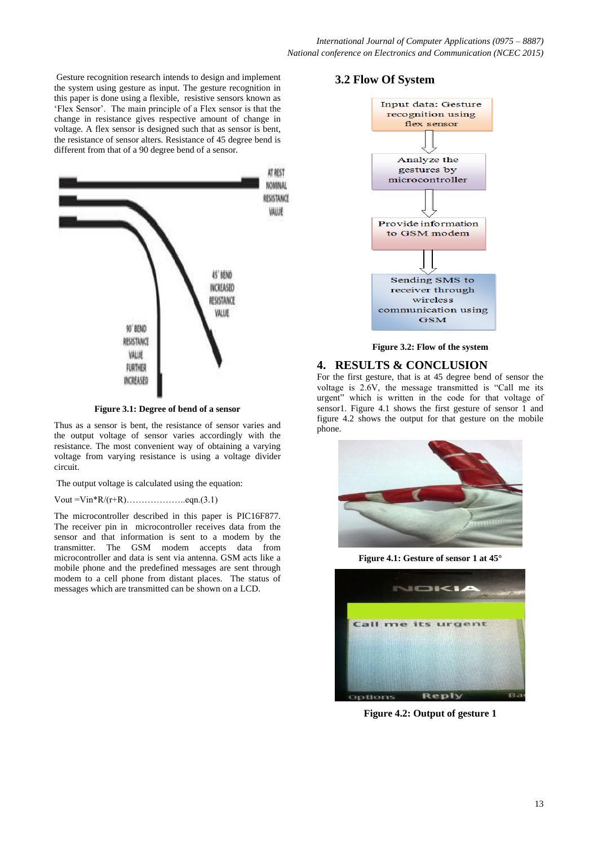Gesture recognition research intends to design and implement the system using gesture as input. The gesture recognition in this paper is done using a flexible, resistive sensors known as "Flex Sensor". The main principle of a Flex sensor is that the change in resistance gives respective amount of change in voltage. A flex sensor is designed such that as sensor is bent, the resistance of sensor alters. Resistance of 45 degree bend is different from that of a 90 degree bend of a sensor.



**Figure 3.1: Degree of bend of a sensor**

Thus as a sensor is bent, the resistance of sensor varies and the output voltage of sensor varies accordingly with the resistance. The most convenient way of obtaining a varying voltage from varying resistance is using a voltage divider circuit.

The output voltage is calculated using the equation:

Vout =Vin\*R/(r+R)………………..eqn.(3.1)

The microcontroller described in this paper is PIC16F877. The receiver pin in microcontroller receives data from the sensor and that information is sent to a modem by the transmitter. The GSM modem accepts data from microcontroller and data is sent via antenna. GSM acts like a mobile phone and the predefined messages are sent through modem to a cell phone from distant places. The status of messages which are transmitted can be shown on a LCD.

# **3.2 Flow Of System**



**Figure 3.2: Flow of the system**

## **4. RESULTS & CONCLUSION**

For the first gesture, that is at 45 degree bend of sensor the voltage is 2.6V, the message transmitted is "Call me its urgent" which is written in the code for that voltage of sensor1. Figure 4.1 shows the first gesture of sensor 1 and figure 4.2 shows the output for that gesture on the mobile phone.



**Figure 4.1: Gesture of sensor 1 at 45°**



**Figure 4.2: Output of gesture 1**